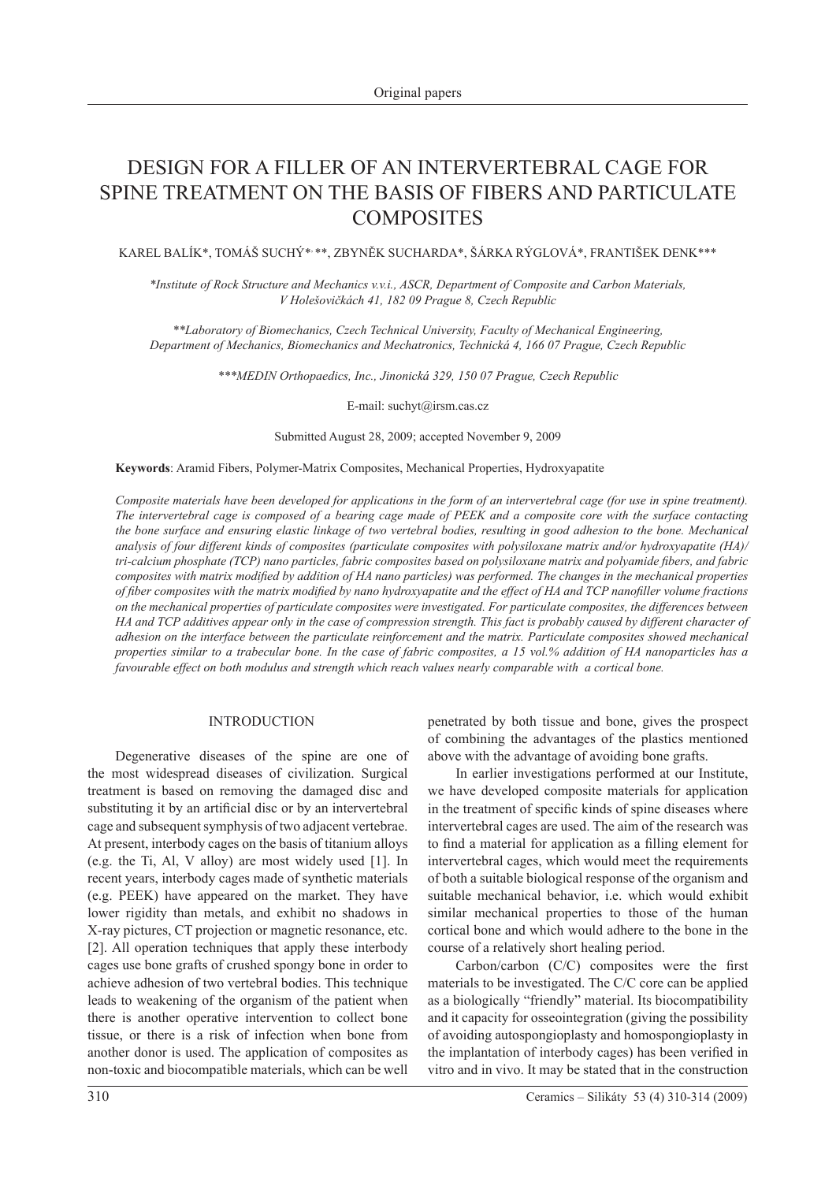# Design for a filler of an intervertebral cage for SPINE TREATMENT ON THE BASIS OF FIBERS AND PARTICULATE **COMPOSITES**

Karel Balík\*, Tomáš Suchý\*, \*\*, Zbyněk Sucharda\*, Šárka Rýglová\*, František Denk\*\*\*

*\*Institute of Rock Structure and Mechanics v.v.i., ASCR, Department of Composite and Carbon Materials, V Holešovičkách 41, 182 09 Prague 8, Czech Republic*

*\*\*Laboratory of Biomechanics, Czech Technical University, Faculty of Mechanical Engineering, Department of Mechanics, Biomechanics and Mechatronics, Technická 4, 166 07 Prague, Czech Republic*

*\*\*\*MEDIN Orthopaedics, Inc., Jinonická 329, 150 07 Prague, Czech Republic*

E-mail: suchyt@irsm.cas.cz

Submitted August 28, 2009; accepted November 9, 2009

**Keywords**: Aramid Fibers, Polymer-Matrix Composites, Mechanical Properties, Hydroxyapatite

*Composite materials have been developed for applications in the form of an intervertebral cage (for use in spine treatment). The intervertebral cage is composed of a bearing cage made of PEEK and a composite core with the surface contacting the bone surface and ensuring elastic linkage of two vertebral bodies, resulting in good adhesion to the bone. Mechanical analysis of four different kinds of composites (particulate composites with polysiloxane matrix and/or hydroxyapatite (HA)/ tri-calcium phosphate (TCP) nano particles, fabric composites based on polysiloxane matrix and polyamide fibers, and fabric composites with matrix modified by addition of HA nano particles) was performed. The changes in the mechanical properties of fiber composites with the matrix modified by nano hydroxyapatite and the effect of HA and TCP nanofiller volume fractions on the mechanical properties of particulate composites were investigated. For particulate composites, the differences between HA and TCP additives appear only in the case of compression strength. This fact is probably caused by different character of adhesion on the interface between the particulate reinforcement and the matrix. Particulate composites showed mechanical properties similar to a trabecular bone. In the case of fabric composites, a 15 vol.% addition of HA nanoparticles has a favourable effect on both modulus and strength which reach values nearly comparable with a cortical bone.*

#### INTRODUCTION

Degenerative diseases of the spine are one of the most widespread diseases of civilization. Surgical treatment is based on removing the damaged disc and substituting it by an artificial disc or by an intervertebral cage and subsequent symphysis of two adjacent vertebrae. At present, interbody cages on the basis of titanium alloys (e.g. the Ti, Al, V alloy) are most widely used [1]. In recent years, interbody cages made of synthetic materials (e.g. PEEK) have appeared on the market. They have lower rigidity than metals, and exhibit no shadows in X-ray pictures, CT projection or magnetic resonance, etc. [2]. All operation techniques that apply these interbody cages use bone grafts of crushed spongy bone in order to achieve adhesion of two vertebral bodies. This technique leads to weakening of the organism of the patient when there is another operative intervention to collect bone tissue, or there is a risk of infection when bone from another donor is used. The application of composites as non-toxic and biocompatible materials, which can be well

penetrated by both tissue and bone, gives the prospect of combining the advantages of the plastics mentioned above with the advantage of avoiding bone grafts.

In earlier investigations performed at our Institute, we have developed composite materials for application in the treatment of specific kinds of spine diseases where intervertebral cages are used. The aim of the research was to find a material for application as a filling element for intervertebral cages, which would meet the requirements of both a suitable biological response of the organism and suitable mechanical behavior, i.e. which would exhibit similar mechanical properties to those of the human cortical bone and which would adhere to the bone in the course of a relatively short healing period.

Carbon/carbon (C/C) composites were the first materials to be investigated. The C/C core can be applied as a biologically "friendly" material. Its biocompatibility and it capacity for osseointegration (giving the possibility of avoiding autospongioplasty and homospongioplasty in the implantation of interbody cages) has been verified in vitro and in vivo. It may be stated that in the construction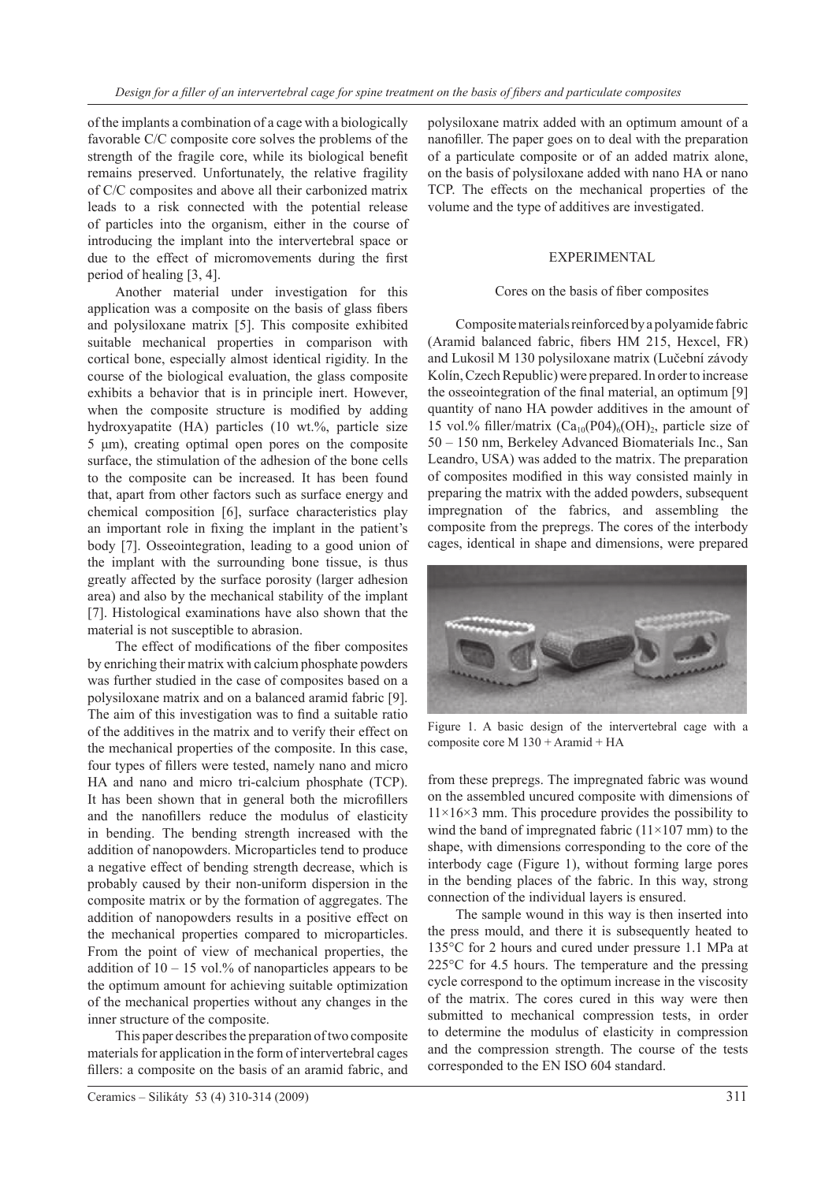of the implants a combination of a cage with a biologically favorable C/C composite core solves the problems of the strength of the fragile core, while its biological benefit remains preserved. Unfortunately, the relative fragility of C/C composites and above all their carbonized matrix leads to a risk connected with the potential release of particles into the organism, either in the course of introducing the implant into the intervertebral space or due to the effect of micromovements during the first period of healing [3, 4].

Another material under investigation for this application was a composite on the basis of glass fibers and polysiloxane matrix [5]. This composite exhibited suitable mechanical properties in comparison with cortical bone, especially almost identical rigidity. In the course of the biological evaluation, the glass composite exhibits a behavior that is in principle inert. However, when the composite structure is modified by adding hydroxyapatite (HA) particles (10 wt.%, particle size 5 μm), creating optimal open pores on the composite surface, the stimulation of the adhesion of the bone cells to the composite can be increased. It has been found that, apart from other factors such as surface energy and chemical composition [6], surface characteristics play an important role in fixing the implant in the patient's body [7]. Osseointegration, leading to a good union of the implant with the surrounding bone tissue, is thus greatly affected by the surface porosity (larger adhesion area) and also by the mechanical stability of the implant [7]. Histological examinations have also shown that the material is not susceptible to abrasion.

The effect of modifications of the fiber composites by enriching their matrix with calcium phosphate powders was further studied in the case of composites based on a polysiloxane matrix and on a balanced aramid fabric [9]. The aim of this investigation was to find a suitable ratio of the additives in the matrix and to verify their effect on the mechanical properties of the composite. In this case, four types of fillers were tested, namely nano and micro HA and nano and micro tri-calcium phosphate (TCP). It has been shown that in general both the microfillers and the nanofillers reduce the modulus of elasticity in bending. The bending strength increased with the addition of nanopowders. Microparticles tend to produce a negative effect of bending strength decrease, which is probably caused by their non-uniform dispersion in the composite matrix or by the formation of aggregates. The addition of nanopowders results in a positive effect on the mechanical properties compared to microparticles. From the point of view of mechanical properties, the addition of  $10 - 15$  vol.% of nanoparticles appears to be the optimum amount for achieving suitable optimization of the mechanical properties without any changes in the inner structure of the composite.

This paper describes the preparation of two composite materials for application in the form of intervertebral cages fillers: a composite on the basis of an aramid fabric, and polysiloxane matrix added with an optimum amount of a nanofiller. The paper goes on to deal with the preparation of a particulate composite or of an added matrix alone, on the basis of polysiloxane added with nano HA or nano TCP. The effects on the mechanical properties of the volume and the type of additives are investigated.

## EXPERIMENTAL

#### Cores on the basis of fiber composites

Composite materials reinforced by a polyamide fabric (Aramid balanced fabric, fibers HM 215, Hexcel, FR) and Lukosil M 130 polysiloxane matrix (Lučební závody Kolín, Czech Republic) were prepared. In order to increase the osseointegration of the final material, an optimum [9] quantity of nano HA powder additives in the amount of 15 vol.% filler/matrix  $(Ca_{10}(P04)_6(OH)_2)$ , particle size of 50 – 150 nm, Berkeley Advanced Biomaterials Inc., San Leandro, USA) was added to the matrix. The preparation of composites modified in this way consisted mainly in preparing the matrix with the added powders, subsequent impregnation of the fabrics, and assembling the composite from the prepregs. The cores of the interbody cages, identical in shape and dimensions, were prepared



Figure 1. A basic design of the intervertebral cage with a composite core M 130 + Aramid + HA

from these prepregs. The impregnated fabric was wound on the assembled uncured composite with dimensions of  $11\times16\times3$  mm. This procedure provides the possibility to wind the band of impregnated fabric  $(11\times107 \text{ mm})$  to the shape, with dimensions corresponding to the core of the interbody cage (Figure 1), without forming large pores in the bending places of the fabric. In this way, strong connection of the individual layers is ensured.

The sample wound in this way is then inserted into the press mould, and there it is subsequently heated to 135°C for 2 hours and cured under pressure 1.1 MPa at 225°C for 4.5 hours. The temperature and the pressing cycle correspond to the optimum increase in the viscosity of the matrix. The cores cured in this way were then submitted to mechanical compression tests, in order to determine the modulus of elasticity in compression and the compression strength. The course of the tests corresponded to the EN ISO 604 standard.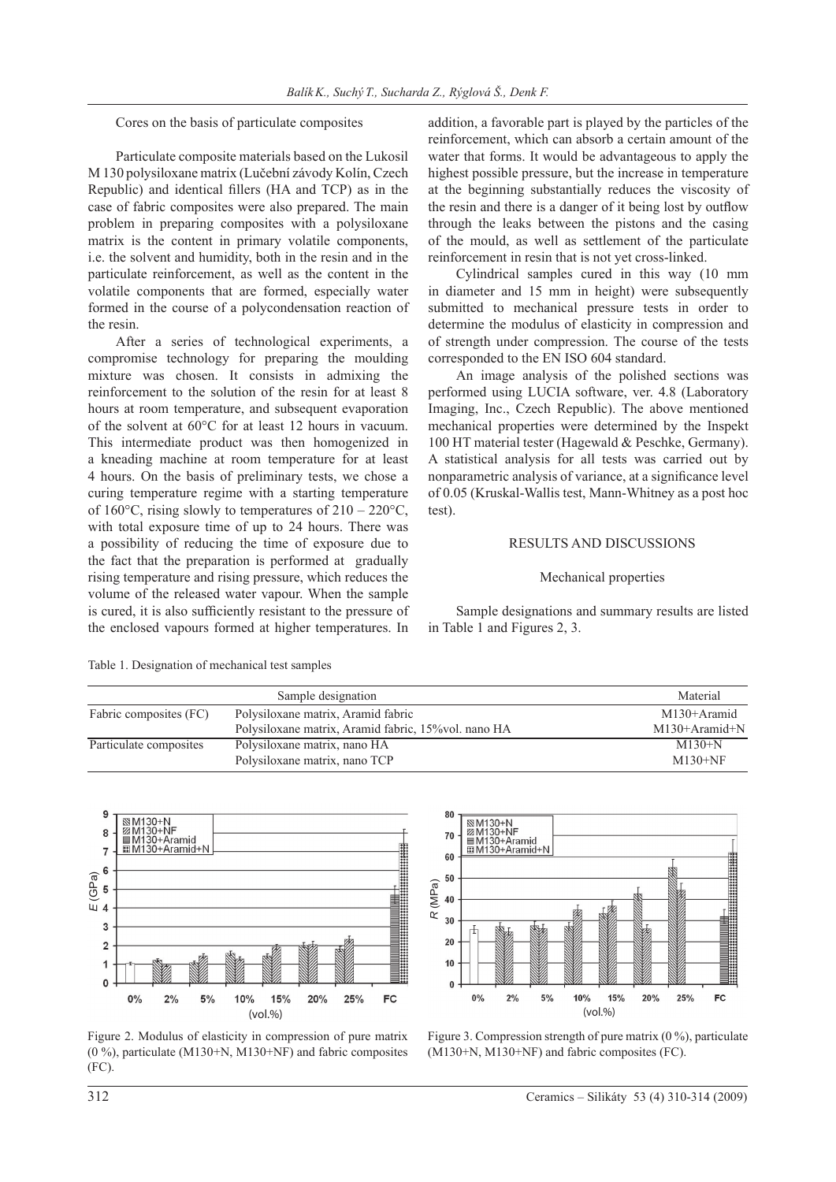Cores on the basis of particulate composites

Particulate composite materials based on the Lukosil M 130 polysiloxane matrix (Lučební závody Kolín, Czech Republic) and identical fillers (HA and TCP) as in the case of fabric composites were also prepared. The main problem in preparing composites with a polysiloxane matrix is the content in primary volatile components, i.e. the solvent and humidity, both in the resin and in the particulate reinforcement, as well as the content in the volatile components that are formed, especially water formed in the course of a polycondensation reaction of the resin.

After a series of technological experiments, a compromise technology for preparing the moulding mixture was chosen. It consists in admixing the reinforcement to the solution of the resin for at least 8 hours at room temperature, and subsequent evaporation of the solvent at 60°C for at least 12 hours in vacuum. This intermediate product was then homogenized in a kneading machine at room temperature for at least 4 hours. On the basis of preliminary tests, we chose a curing temperature regime with a starting temperature of 160 $\degree$ C, rising slowly to temperatures of 210 – 220 $\degree$ C, with total exposure time of up to 24 hours. There was a possibility of reducing the time of exposure due to the fact that the preparation is performed at gradually rising temperature and rising pressure, which reduces the volume of the released water vapour. When the sample is cured, it is also sufficiently resistant to the pressure of the enclosed vapours formed at higher temperatures. In

addition, a favorable part is played by the particles of the reinforcement, which can absorb a certain amount of the water that forms. It would be advantageous to apply the highest possible pressure, but the increase in temperature at the beginning substantially reduces the viscosity of the resin and there is a danger of it being lost by outflow through the leaks between the pistons and the casing of the mould, as well as settlement of the particulate reinforcement in resin that is not yet cross-linked.

Cylindrical samples cured in this way (10 mm in diameter and 15 mm in height) were subsequently submitted to mechanical pressure tests in order to determine the modulus of elasticity in compression and of strength under compression. The course of the tests corresponded to the EN ISO 604 standard.

An image analysis of the polished sections was performed using LUCIA software, ver. 4.8 (Laboratory Imaging, Inc., Czech Republic). The above mentioned mechanical properties were determined by the Inspekt 100 HT material tester (Hagewald & Peschke, Germany). A statistical analysis for all tests was carried out by nonparametric analysis of variance, at a significance level of 0.05 (Kruskal-Wallis test, Mann-Whitney as a post hoc test).

## RESULTS AND DISCUSSIONS

## Mechanical properties

Sample designations and summary results are listed in Table 1 and Figures 2, 3.

Table 1. Designation of mechanical test samples

|                        | Sample designation                                   | Material        |
|------------------------|------------------------------------------------------|-----------------|
| Fabric composites (FC) | Polysiloxane matrix, Aramid fabric                   | M130+Aramid     |
|                        | Polysiloxane matrix, Aramid fabric, 15% vol. nano HA | $M130+Aramid+N$ |
| Particulate composites | Polysiloxane matrix, nano HA                         | $M130+N$        |
|                        | Polysiloxane matrix, nano TCP                        | $M130+NF$       |





Figure 2. Modulus of elasticity in compression of pure matrix  $(0\%)$ , particulate (M130+N, M130+NF) and fabric composites (FC).

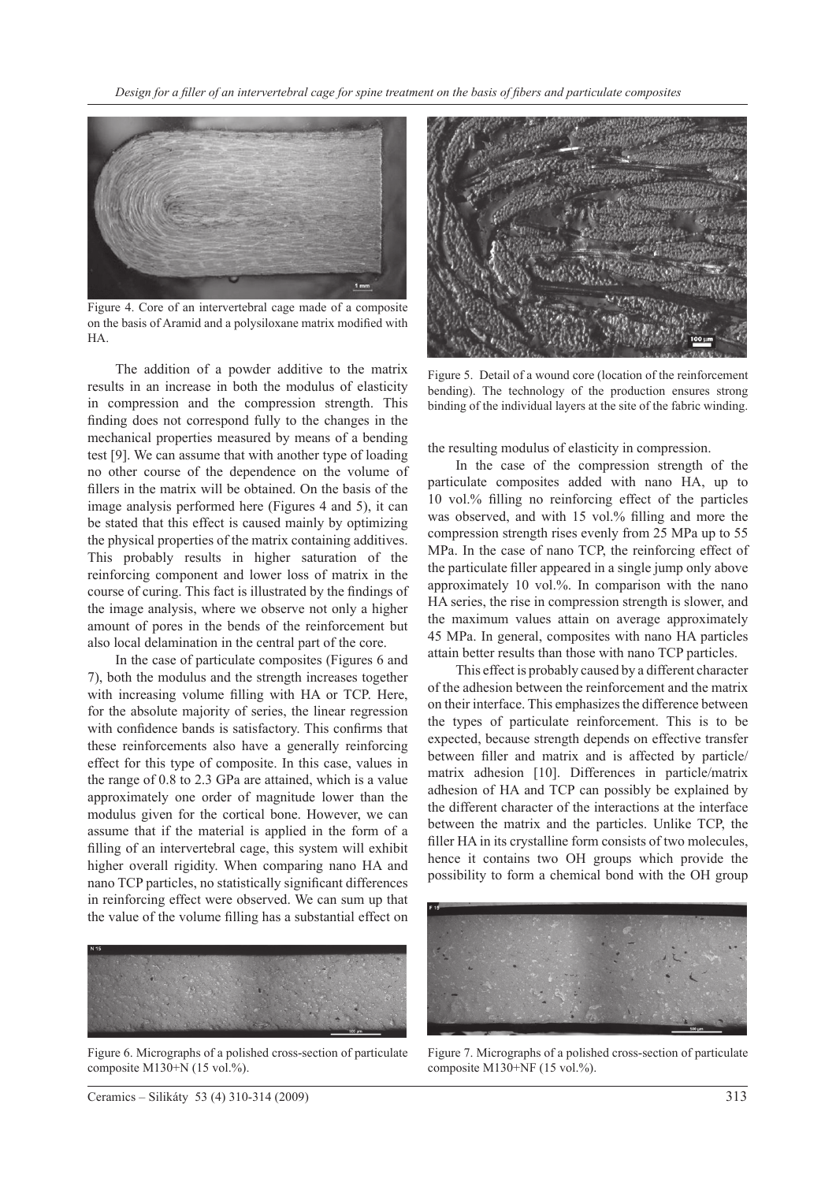

Figure 4. Core of an intervertebral cage made of a composite on the basis of Aramid and a polysiloxane matrix modified with HA.

The addition of a powder additive to the matrix results in an increase in both the modulus of elasticity in compression and the compression strength. This finding does not correspond fully to the changes in the mechanical properties measured by means of a bending test [9]. We can assume that with another type of loading no other course of the dependence on the volume of fillers in the matrix will be obtained. On the basis of the image analysis performed here (Figures 4 and 5), it can be stated that this effect is caused mainly by optimizing the physical properties of the matrix containing additives. This probably results in higher saturation of the reinforcing component and lower loss of matrix in the course of curing. This fact is illustrated by the findings of the image analysis, where we observe not only a higher amount of pores in the bends of the reinforcement but also local delamination in the central part of the core.

In the case of particulate composites (Figures 6 and 7), both the modulus and the strength increases together with increasing volume filling with HA or TCP. Here, for the absolute majority of series, the linear regression with confidence bands is satisfactory. This confirms that these reinforcements also have a generally reinforcing effect for this type of composite. In this case, values in the range of 0.8 to 2.3 GPa are attained, which is a value approximately one order of magnitude lower than the modulus given for the cortical bone. However, we can assume that if the material is applied in the form of a filling of an intervertebral cage, this system will exhibit higher overall rigidity. When comparing nano HA and nano TCP particles, no statistically significant differences in reinforcing effect were observed. We can sum up that the value of the volume filling has a substantial effect on



Figure 6. Micrographs of a polished cross-section of particulate composite M130+N (15 vol.%).



Figure 5. Detail of a wound core (location of the reinforcement bending). The technology of the production ensures strong binding of the individual layers at the site of the fabric winding.

the resulting modulus of elasticity in compression.

In the case of the compression strength of the particulate composites added with nano HA, up to 10 vol.% filling no reinforcing effect of the particles was observed, and with 15 vol.% filling and more the compression strength rises evenly from 25 MPa up to 55 MPa. In the case of nano TCP, the reinforcing effect of the particulate filler appeared in a single jump only above approximately 10 vol.%. In comparison with the nano HA series, the rise in compression strength is slower, and the maximum values attain on average approximately 45 MPa. In general, composites with nano HA particles attain better results than those with nano TCP particles.

This effect is probably caused by a different character of the adhesion between the reinforcement and the matrix on their interface. This emphasizes the difference between the types of particulate reinforcement. This is to be expected, because strength depends on effective transfer between filler and matrix and is affected by particle/ matrix adhesion [10]. Differences in particle/matrix adhesion of HA and TCP can possibly be explained by the different character of the interactions at the interface between the matrix and the particles. Unlike TCP, the filler HA in its crystalline form consists of two molecules, hence it contains two OH groups which provide the possibility to form a chemical bond with the OH group



Figure 7. Micrographs of a polished cross-section of particulate composite M130+NF (15 vol.%).